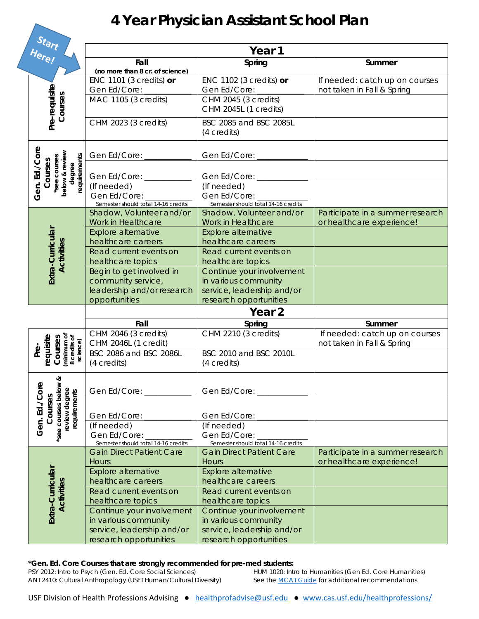## **4 Year Physician Assistant School Plan**

| Start<br>Here!                                                  | Year 1                                                       |                                                      |                                  |  |
|-----------------------------------------------------------------|--------------------------------------------------------------|------------------------------------------------------|----------------------------------|--|
|                                                                 | Fall                                                         | Spring                                               | Summer                           |  |
|                                                                 | (no more than 8 cr. of science)<br>ENC 1101 (3 credits) $or$ | ENC 1102 (3 credits) $or$                            | If needed: catch up on courses   |  |
|                                                                 | Gen Ed/Core:                                                 | Gen Ed/Core:                                         | not taken in Fall & Spring       |  |
|                                                                 | MAC 1105 (3 credits)                                         | CHM 2045 (3 credits)                                 |                                  |  |
| Courses                                                         |                                                              | CHM 2045L (1 credits)                                |                                  |  |
| Pre-requisite                                                   | CHM 2023 (3 credits)                                         | BSC 2085 and BSC 2085L                               |                                  |  |
|                                                                 |                                                              | (4 credits)                                          |                                  |  |
|                                                                 |                                                              |                                                      |                                  |  |
|                                                                 | Gen Ed/Core:                                                 | Gen Ed/Core:                                         |                                  |  |
| Gen. Ed./Core<br>*see courses<br>below & review<br>requirements |                                                              |                                                      |                                  |  |
| Courses<br>degree                                               | Gen Ed/Core: _                                               | Gen Ed/Core: _                                       |                                  |  |
|                                                                 | (If needed)                                                  | (If needed)                                          |                                  |  |
|                                                                 | Gen Ed/Core:                                                 | Gen Ed/Core:                                         |                                  |  |
|                                                                 | Semester should total 14-16 credits                          | Semester should total 14-16 credits                  |                                  |  |
|                                                                 | Shadow, Volunteer and/or                                     | Shadow, Volunteer and/or                             | Participate in a summer research |  |
|                                                                 | Work in Healthcare                                           | Work in Healthcare                                   | or healthcare experience!        |  |
|                                                                 | <b>Explore alternative</b><br>healthcare careers             | Explore alternative<br>healthcare careers            |                                  |  |
| <b>Activities</b>                                               | Read current events on                                       | Read current events on                               |                                  |  |
|                                                                 | healthcare topics                                            | healthcare topics                                    |                                  |  |
| Extra-Curricular                                                | Begin to get involved in                                     | Continue your involvement                            |                                  |  |
|                                                                 | community service,                                           | in various community                                 |                                  |  |
|                                                                 | leadership and/or research                                   | service, leadership and/or                           |                                  |  |
|                                                                 | opportunities                                                | research opportunities                               |                                  |  |
|                                                                 |                                                              | Year <sub>2</sub>                                    |                                  |  |
|                                                                 | Fall                                                         | Spring                                               | Summer                           |  |
|                                                                 |                                                              |                                                      |                                  |  |
|                                                                 | CHM 2046 (3 credits)                                         | CHM 2210 (3 credits)                                 | If needed: catch up on courses   |  |
|                                                                 | CHM 2046L (1 credit)                                         |                                                      | not taken in Fall & Spring       |  |
| Pre-                                                            | BSC 2086 and BSC 2086L                                       | BSC 2010 and BSC 2010L                               |                                  |  |
| (minimum of<br>8 credits of<br>science)<br>requisite<br>Courses | (4 credits)                                                  | (4 credits)                                          |                                  |  |
| ∞                                                               |                                                              |                                                      |                                  |  |
| Φ<br>₹                                                          | Gen Ed/Core:                                                 | Gen Ed/Core:                                         |                                  |  |
|                                                                 |                                                              |                                                      |                                  |  |
|                                                                 |                                                              |                                                      |                                  |  |
| requirements<br>Courses                                         | Gen Ed/Core:<br>(If needed)                                  | Gen Ed/Core:<br>(If needed)                          |                                  |  |
| see courses belo<br>review degree<br>Gen. Ed./Cor               | Gen Ed/Core:                                                 | Gen Ed/Core:                                         |                                  |  |
|                                                                 | Semester should total 14-16 credits                          | Semester should total 14-16 credits                  |                                  |  |
|                                                                 | <b>Gain Direct Patient Care</b>                              | <b>Gain Direct Patient Care</b>                      | Participate in a summer research |  |
|                                                                 | <b>Hours</b>                                                 | <b>Hours</b>                                         | or healthcare experience!        |  |
|                                                                 | Explore alternative<br>healthcare careers                    | Explore alternative<br>healthcare careers            |                                  |  |
|                                                                 | Read current events on                                       | Read current events on                               |                                  |  |
|                                                                 | healthcare topics                                            | healthcare topics                                    |                                  |  |
| Activities                                                      | Continue your involvement                                    | Continue your involvement                            |                                  |  |
| Extra-Curricular                                                | in various community                                         | in various community                                 |                                  |  |
|                                                                 | service, leadership and/or<br>research opportunities         | service, leadership and/or<br>research opportunities |                                  |  |

**\*Gen. Ed. Core Courses that are strongly recommended for pre-med students:** 

ANT 2410: Cultural Anthropology (USFT Human/Cultural Diversity) *See the MCAT Guide for additional recommendations*

PSY 2012: Intro to Psych (Gen. Ed. Core Social Sciences) HUM 1020: Intro to Humanities (Gen Ed. Core Humanities)